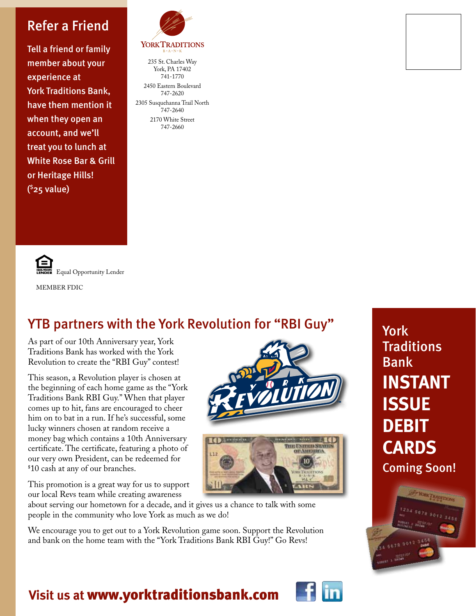#### Refer a Friend

Tell a friend or family member about your experience at York Traditions Bank, have them mention it when they open an account, and we'll treat you to lunch at White Rose Bar & Grill or Heritage Hills! ( \$25 value)



#### **YORKTRADITIONS**

235 St. Charles Way York, PA 17402 741-1770 2450 Eastern Boulevard 747-2620 2305 Susquehanna Trail North 747-2640 2170 White Street 747-2660



#### YTB partners with the York Revolution for "RBI Guy"

As part of our 10th Anniversary year, York Traditions Bank has worked with the York Revolution to create the "RBI Guy" contest!

This season, a Revolution player is chosen at the beginning of each home game as the "York Traditions Bank RBI Guy." When that player comes up to hit, fans are encouraged to cheer him on to bat in a run. If he's successful, some lucky winners chosen at random receive a money bag which contains a 10th Anniversary certificate. The certificate, featuring a photo of our very own President, can be redeemed for \$ 10 cash at any of our branches.

This promotion is a great way for us to support our local Revs team while creating awareness





about serving our hometown for a decade, and it gives us a chance to talk with some people in the community who love York as much as we do!

We encourage you to get out to a York Revolution game soon. Support the Revolution and bank on the home team with the "York Traditions Bank RBI Guy!" Go Revs!

York **Traditions** Bank **INSTANT ISSUE DEBIT CARDS** Coming Soon!



#### **Visit us at** www.yorktraditionsbank.com

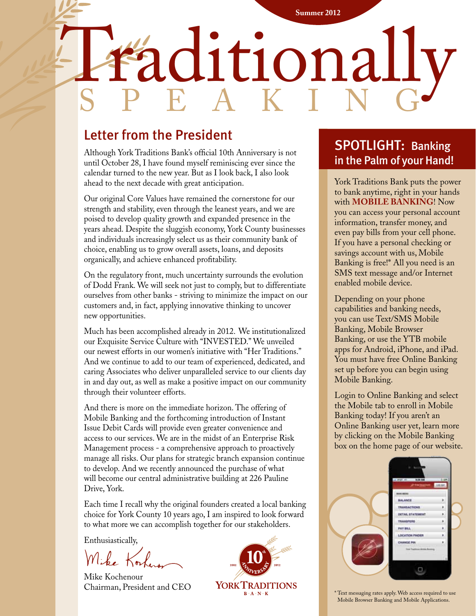### Regional Medical Imaging **Summer 2012** Haditionally speak i n g

#### Letter from the President

Although York Traditions Bank's official 10th Anniversary is not until October 28, I have found myself reminiscing ever since the calendar turned to the new year. But as I look back, I also look ahead to the next decade with great anticipation.

Our original Core Values have remained the cornerstone for our strength and stability, even through the leanest years, and we are poised to develop quality growth and expanded presence in the years ahead. Despite the sluggish economy, York County businesses and individuals increasingly select us as their community bank of choice, enabling us to grow overall assets, loans, and deposits organically, and achieve enhanced profitability.

On the regulatory front, much uncertainty surrounds the evolution of Dodd Frank. We will seek not just to comply, but to differentiate ourselves from other banks - striving to minimize the impact on our customers and, in fact, applying innovative thinking to uncover new opportunities.

Much has been accomplished already in 2012. We institutionalized our Exquisite Service Culture with "INVESTED." We unveiled our newest efforts in our women's initiative with "Her Traditions." And we continue to add to our team of experienced, dedicated, and caring Associates who deliver unparalleled service to our clients day in and day out, as well as make a positive impact on our community through their volunteer efforts.

And there is more on the immediate horizon. The offering of Mobile Banking and the forthcoming introduction of Instant Issue Debit Cards will provide even greater convenience and access to our services. We are in the midst of an Enterprise Risk Management process - a comprehensive approach to proactively manage all risks. Our plans for strategic branch expansion continue to develop. And we recently announced the purchase of what will become our central administrative building at 226 Pauline Drive, York.

Each time I recall why the original founders created a local banking choice for York County 10 years ago, I am inspired to look forward to what more we can accomplish together for our stakeholders.

Enthusiastically,

Mike Kochenour Chairman, President and CEO



#### SPOTLIGHT: Banking in the Palm of your Hand!

York Traditions Bank puts the power to bank anytime, right in your hands with **MOBILE BANKING**! Now you can access your personal account information, transfer money, and even pay bills from your cell phone. If you have a personal checking or savings account with us, Mobile Banking is free!\* All you need is an SMS text message and/or Internet enabled mobile device.

Depending on your phone capabilities and banking needs, you can use Text/SMS Mobile Banking, Mobile Browser Banking, or use the YTB mobile apps for Android, iPhone, and iPad. You must have free Online Banking set up before you can begin using Mobile Banking.

Login to Online Banking and select the Mobile tab to enroll in Mobile Banking today! If you aren't an Online Banking user yet, learn more by clicking on the Mobile Banking box on the home page of our website.



\* Text messaging rates apply. Web access required to use Mobile Browser Banking and Mobile Applications.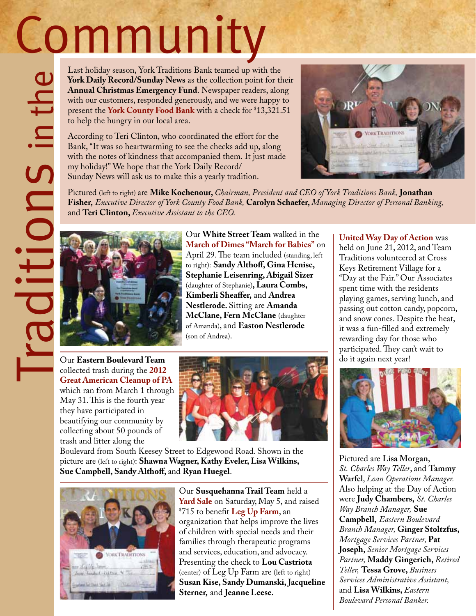# Community

Last holiday season, York Traditions Bank teamed up with the **York Daily Record/Sunday News** as the collection point for their **Annual Christmas Emergency Fund**. Newspaper readers, along with our customers, responded generously, and we were happy to present the **York County Food Bank** with a check for \$ present the York County Food Bank with a check for \$13,321.51 to help the hungry in our local area.

According to Teri Clinton, who coordinated the effort for the Bank, "It was so heartwarming to see the checks add up, along with the notes of kindness that accompanied them. It just made my holiday!" We hope that the York Daily Record/ Sunday News will ask us to make this a yearly tradition.



Pictured (left to right) are **Mike Kochenour,** *Chairman, President and CEO of York Traditions Bank,* **Jonathan Fisher,** *Executive Director of York County Food Bank,* **Carolyn Schaefer,** *Managing Director of Personal Banking,*  and **Teri Clinton,** *Executive Assistant to the CEO.*



Our **White Street Team** walked in the **March of Dimes "March for Babies"** on April 29. The team included (standing, left to right): **Sandy Althoff, Gina Henise, Stephanie Leisenring, Abigail Sizer**  (daughter of Stephanie)**, Laura Combs, Kimberli Sheaffer,** and **Andrea Nestlerode.** Sitting are **Amanda McClane, Fern McClane** (daughter of Amanda), and **Easton Nestlerode** (son of Andrea).

Our **Eastern Boulevard Team** collected trash during the **2012 Great American Cleanup of PA** which ran from March 1 through May 31. This is the fourth year they have participated in beautifying our community by collecting about 50 pounds of trash and litter along the



Boulevard from South Keesey Street to Edgewood Road. Shown in the picture are (left to right): **Shawna Wagner, Kathy Eveler, Lisa Wilkins, Sue Campbell, Sandy Althoff,** and **Ryan Huegel**.



Our **Susquehanna Trail Team** held a **Yard Sale** on Saturday, May 5, and raised \$ 715 to benefit **Leg Up Farm**, an organization that helps improve the lives of children with special needs and their families through therapeutic programs and services, education, and advocacy. Presenting the check to **Lou Castriota** (center) of Leg Up Farm are (left to right) **Susan Kise, Sandy Dumanski, Jacqueline Sterner,** and **Jeanne Leese.**

**United Way Day of Action** was held on June 21, 2012, and Team Traditions volunteered at Cross Keys Retirement Village for a "Day at the Fair." Our Associates spent time with the residents playing games, serving lunch, and passing out cotton candy, popcorn, and snow cones. Despite the heat, it was a fun-filled and extremely rewarding day for those who participated. They can't wait to do it again next year!



Pictured are **Lisa Morgan**, *St. Charles Way Teller*, and **Tammy Warfel**, *Loan Operations Manager.*  Also helping at the Day of Action were **Judy Chambers,** *St. Charles Way Branch Manager,* **Sue Campbell,** *Eastern Boulevard Branch Manager,* **Ginger Stoltzfus,** *Mortgage Services Partner,* **Pat Joseph,** *Senior Mortgage Services Partner,* **Maddy Gingerich,** *Retired Teller,* **Tessa Grove,** *Business Services Administrative Assistant,*  and **Lisa Wilkins,** *Eastern Boulevard Personal Banker.*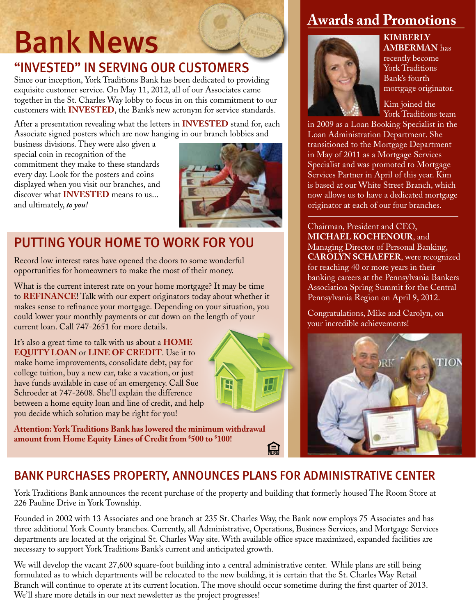### Bank News

#### "invested" in serving our customers

Since our inception, York Traditions Bank has been dedicated to providing exquisite customer service. On May 11, 2012, all of our Associates came together in the St. Charles Way lobby to focus in on this commitment to our customers with **INVESTED**, the Bank's new acronym for service standards.

After a presentation revealing what the letters in **INVESTED** stand for, each Associate signed posters which are now hanging in our branch lobbies and

business divisions. They were also given a special coin in recognition of the commitment they make to these standards every day. Look for the posters and coins displayed when you visit our branches, and discover what **INVESTED** means to us... and ultimately, *to you!*



#### PutTING your home to work for you

Record low interest rates have opened the doors to some wonderful opportunities for homeowners to make the most of their money.

What is the current interest rate on your home mortgage? It may be time to **REFINANCE!** Talk with our expert originators today about whether it makes sense to refinance your mortgage. Depending on your situation, you could lower your monthly payments or cut down on the length of your current loan. Call 747-2651 for more details.

It's also a great time to talk with us about a **HOME EQUITY LOAN** or **LINE OF CREDIT**. Use it to make home improvements, consolidate debt, pay for college tuition, buy a new car, take a vacation, or just have funds available in case of an emergency. Call Sue Schroeder at 747-2608. She'll explain the difference between a home equity loan and line of credit, and help you decide which solution may be right for you!

**Attention: York Traditions Bank has lowered the minimum withdrawal amount from Home Equity Lines of Credit from \$ 500 to \$ 100!**

#### **Awards and Promotions**



**kimBERLY amberman** has recently become York Traditions Bank's fourth mortgage originator.

Kim joined the York Traditions team

in 2009 as a Loan Booking Specialist in the Loan Administration Department. She transitioned to the Mortgage Department in May of 2011 as a Mortgage Services Specialist and was promoted to Mortgage Services Partner in April of this year. Kim is based at our White Street Branch, which now allows us to have a dedicated mortgage originator at each of our four branches.

Chairman, President and CEO, **MICHAEL KOCHENOUR**, and Managing Director of Personal Banking, **CAROLYN SCHAEFER**, were recognized for reaching 40 or more years in their banking careers at the Pennsylvania Bankers Association Spring Summit for the Central Pennsylvania Region on April 9, 2012.

Congratulations, Mike and Carolyn, on your incredible achievements!



#### BANK PURCHASES PROPERTY, ANNOUNCES PLANS FOR ADMINISTRATIVE CENTER

York Traditions Bank announces the recent purchase of the property and building that formerly housed The Room Store at 226 Pauline Drive in York Township.

Founded in 2002 with 13 Associates and one branch at 235 St. Charles Way, the Bank now employs 75 Associates and has three additional York County branches. Currently, all Administrative, Operations, Business Services, and Mortgage Services departments are located at the original St. Charles Way site. With available office space maximized, expanded facilities are necessary to support York Traditions Bank's current and anticipated growth.

We will develop the vacant 27,600 square-foot building into a central administrative center. While plans are still being formulated as to which departments will be relocated to the new building, it is certain that the St. Charles Way Retail Branch will continue to operate at its current location. The move should occur sometime during the first quarter of 2013. We'll share more details in our next newsletter as the project progresses!

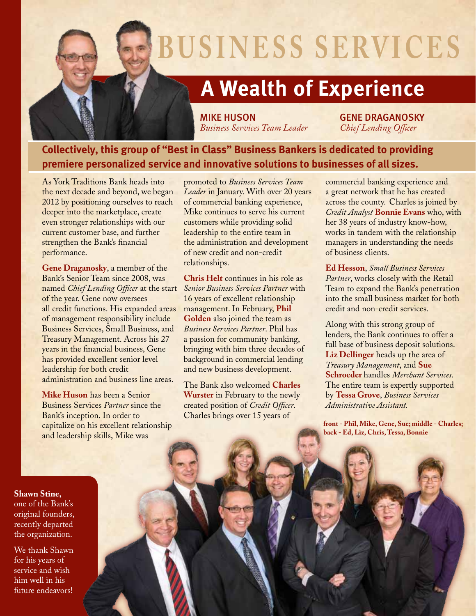

## **busi ness serv ices**

### **A Wealth of Experience**

MIKE HUSON GENE DRAGANOSKY *Business Services Team Leader Chief Lending Officer*

#### **Collectively, this group of "Best in Class" Business Bankers is dedicated to providing premiere personalized service and innovative solutions to businesses of all sizes.**

As York Traditions Bank heads into the next decade and beyond, we began 2012 by positioning ourselves to reach deeper into the marketplace, create even stronger relationships with our current customer base, and further strengthen the Bank's financial performance.

**Gene Draganosky**, a member of the Bank's Senior Team since 2008, was named *Chief Lending Officer* at the start of the year. Gene now oversees all credit functions. His expanded areas of management responsibility include Business Services, Small Business, and Treasury Management. Across his 27 years in the financial business, Gene has provided excellent senior level leadership for both credit administration and business line areas.

**Mike Huson** has been a Senior Business Services *Partner* since the Bank's inception. In order to capitalize on his excellent relationship and leadership skills, Mike was

promoted to *Business Services Team Leader* in January. With over 20 years of commercial banking experience, Mike continues to serve his current customers while providing solid leadership to the entire team in the administration and development of new credit and non-credit relationships.

**Chris Helt** continues in his role as *Senior Business Services Partner* with 16 years of excellent relationship management. In February, **Phil Golden** also joined the team as *Business Services Partner*. Phil has a passion for community banking, bringing with him three decades of background in commercial lending and new business development.

The Bank also welcomed **Charles Wurster** in February to the newly created position of *Credit Officer*. Charles brings over 15 years of

commercial banking experience and a great network that he has created across the county. Charles is joined by *Credit Analyst* **Bonnie Evans** who, with her 38 years of industry know-how, works in tandem with the relationship managers in understanding the needs of business clients.

**Ed Hesson**, *Small Business Services Partner*, works closely with the Retail Team to expand the Bank's penetration into the small business market for both credit and non-credit services.

Along with this strong group of lenders, the Bank continues to offer a full base of business deposit solutions. **Liz Dellinger** heads up the area of *Treasury Management*, and **Sue Schroeder** handles *Merchant Services*. The entire team is expertly supported by **Tessa Grove**, *Business Services Administrative Assistant.*

**front - Phil, Mike, Gene, Sue; middle - Charles; back - Ed, Liz, Chris, Tessa, Bonnie**

**Shawn Stine,** one of the Bank's original founders, recently departed the organization.

We thank Shawn for his years of service and wish him well in his future endeavors!